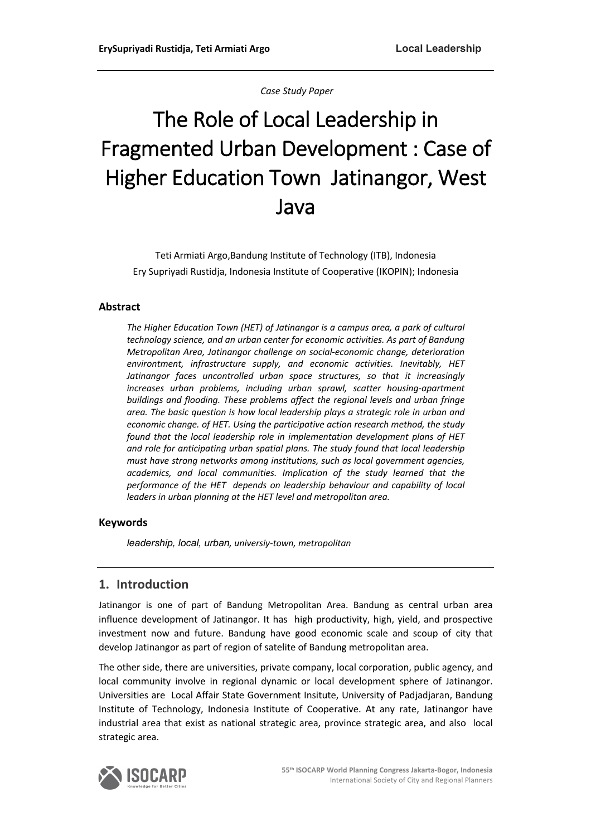*Case Study Paper* 

# The Role of Local Leadership in Fragmented Urban Development : Case of Higher Education Town Jatinangor, West Java

Teti Armiati Argo,Bandung Institute of Technology (ITB), Indonesia Ery Supriyadi Rustidja, Indonesia Institute of Cooperative (IKOPIN); Indonesia

### **Abstract**

*The Higher Education Town (HET) of Jatinangor is a campus area, a park of cultural technology science, and an urban center for economic activities. As part of Bandung Metropolitan Area, Jatinangor challenge on social-economic change, deterioration environtment, infrastructure supply, and economic activities. Inevitably, HET Jatinangor faces uncontrolled urban space structures, so that it increasingly increases urban problems, including urban sprawl, scatter housing-apartment buildings and flooding. These problems affect the regional levels and urban fringe area. The basic question is how local leadership plays a strategic role in urban and economic change. of HET. Using the participative action research method, the study found that the local leadership role in implementation development plans of HET and role for anticipating urban spatial plans. The study found that local leadership must have strong networks among institutions, such as local government agencies, academics, and local communities. Implication of the study learned that the performance of the HET depends on leadership behaviour and capability of local leaders in urban planning at the HET level and metropolitan area.*

### **Keywords**

*leadership, local, urban, universiy-town, metropolitan*

## **1. Introduction**

Jatinangor is one of part of Bandung Metropolitan Area. Bandung as central urban area influence development of Jatinangor. It hashigh productivity, high, yield, and prospective investment now and future. Bandung have good economic scale and scoup of city that develop Jatinangor as part of region of satelite of Bandung metropolitan area.

The other side, there are universities, private company, local corporation, public agency, and local community involve in regional dynamic or local development sphere of Jatinangor. Universities are Local Affair State Government Insitute, University of Padjadjaran, Bandung Institute of Technology, Indonesia Institute of Cooperative. At any rate, Jatinangor have industrial area that exist as national strategic area, province strategic area, and also local strategic area.

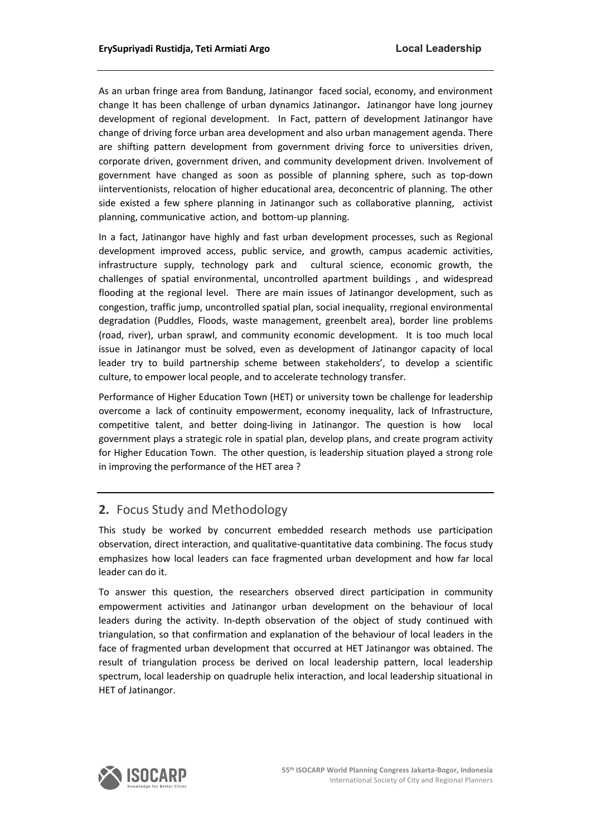As an urban fringe area from Bandung, Jatinangor faced social, economy, and environment change It has been challenge of urban dynamics Jatinangor**.** Jatinangor have long journey development of regional development. In Fact, pattern of development Jatinangor have change of driving force urban area development and also urban management agenda. There are shifting pattern development from government driving force to universities driven, corporate driven, government driven, and community development driven. Involvement of government have changed as soon as possible of planning sphere, such as top-down iinterventionists, relocation of higher educational area, deconcentric of planning. The other side existed a few sphere planning in Jatinangor such as collaborative planning, activist planning, communicative action, and bottom-up planning.

In a fact, Jatinangor have highly and fast urban development processes, such as Regional development improved access, public service, and growth, campus academic activities, infrastructure supply, technology park and cultural science, economic growth, the challenges of spatial environmental, uncontrolled apartment buildings , and widespread flooding at the regional level. There are main issues of Jatinangor development, such as congestion, traffic jump, uncontrolled spatial plan, social inequality, rregional environmental degradation (Puddles, Floods, waste management, greenbelt area), border line problems (road, river), urban sprawl, and community economic development. It is too much local issue in Jatinangor must be solved, even as development of Jatinangor capacity of local leader try to build partnership scheme between stakeholders', to develop a scientific culture, to empower local people, and to accelerate technology transfer.

Performance of Higher Education Town (HET) or university town be challenge for leadership overcome a lack of continuity empowerment, economy inequality, lack of Infrastructure, competitive talent, and better doing-living in Jatinangor. The question is how local government plays a strategic role in spatial plan, develop plans, and create program activity for Higher Education Town. The other question, is leadership situation played a strong role in improving the performance of the HET area ?

# **2.** Focus Study and Methodology

This study be worked by concurrent embedded research methods use participation observation, direct interaction, and qualitative-quantitative data combining. The focus study emphasizes how local leaders can face fragmented urban development and how far local leader can do it.

To answer this question, the researchers observed direct participation in community empowerment activities and Jatinangor urban development on the behaviour of local leaders during the activity. In-depth observation of the object of study continued with triangulation, so that confirmation and explanation of the behaviour of local leaders in the face of fragmented urban development that occurred at HET Jatinangor was obtained. The result of triangulation process be derived on local leadership pattern, local leadership spectrum, local leadership on quadruple helix interaction, and local leadership situational in HET of Jatinangor.

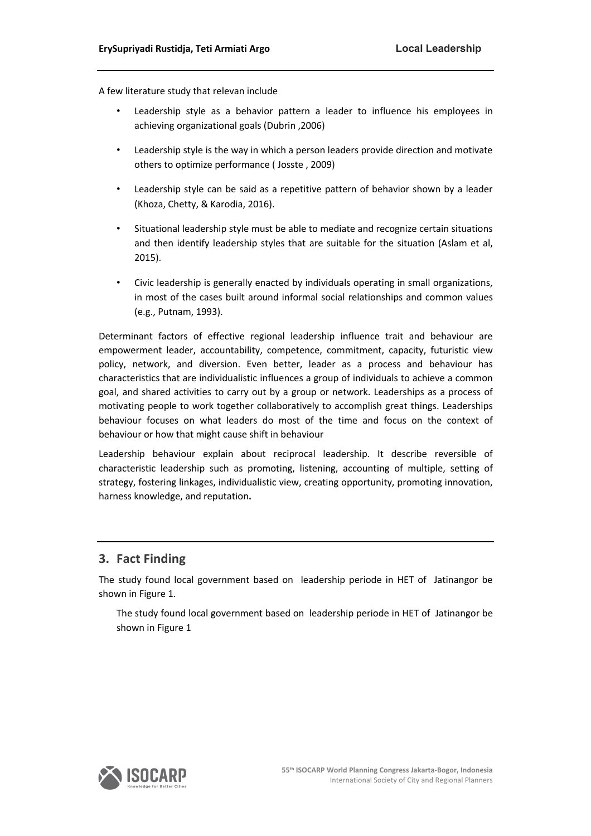A few literature study that relevan include

- Leadership style as a behavior pattern a leader to influence his employees in achieving organizational goals (Dubrin ,2006)
- Leadership style is the way in which a person leaders provide direction and motivate others to optimize performance ( Josste , 2009)
- Leadership style can be said as a repetitive pattern of behavior shown by a leader (Khoza, Chetty, & Karodia, 2016).
- Situational leadership style must be able to mediate and recognize certain situations and then identify leadership styles that are suitable for the situation (Aslam et al, 2015).
- Civic leadership is generally enacted by individuals operating in small organizations, in most of the cases built around informal social relationships and common values (e.g., Putnam, 1993).

Determinant factors of effective regional leadership influence trait and behaviour are empowerment leader, accountability, competence, commitment, capacity, futuristic view policy, network, and diversion. Even better, leader as a process and behaviour has characteristics that are individualistic influences a group of individuals to achieve a common goal, and shared activities to carry out by a group or network. Leaderships as a process of motivating people to work together collaboratively to accomplish great things. Leaderships behaviour focuses on what leaders do most of the time and focus on the context of behaviour or how that might cause shift in behaviour

Leadership behaviour explain about reciprocal leadership. It describe reversible of characteristic leadership such as promoting, listening, accounting of multiple, setting of strategy, fostering linkages, individualistic view, creating opportunity, promoting innovation, harness knowledge, and reputation**.**

# **3. Fact Finding**

The study found local government based on leadership periode in HET of Jatinangor be shown in Figure 1.

The study found local government based on leadership periode in HET of Jatinangor be shown in Figure 1

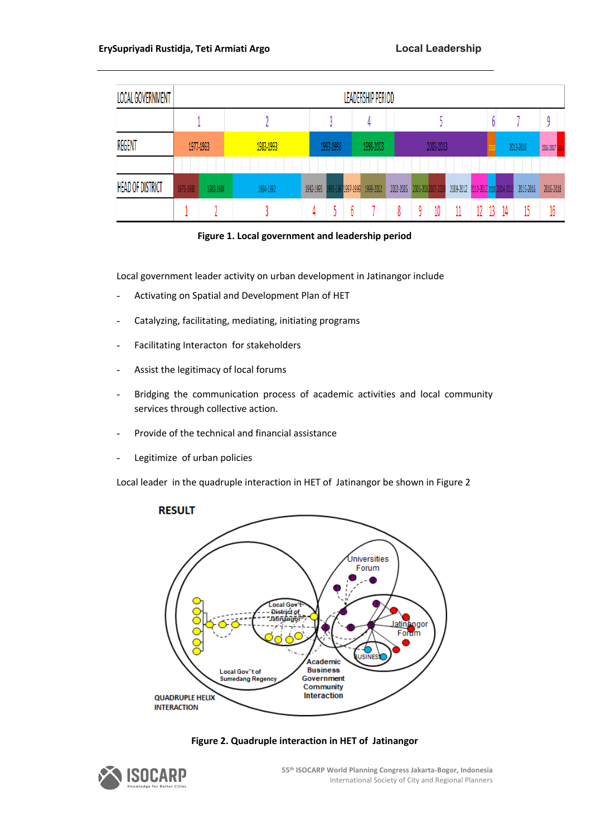| LOCAL GOVERNMENT        | LEADERSHIP PERIOD |           |           |           |           |  |           |                                           |                              |  |  |  |           |           |           |           |
|-------------------------|-------------------|-----------|-----------|-----------|-----------|--|-----------|-------------------------------------------|------------------------------|--|--|--|-----------|-----------|-----------|-----------|
|                         |                   |           |           |           |           |  |           |                                           |                              |  |  |  |           |           |           |           |
| REGENT                  | 1977-1983         |           | 1983-1993 | 1993-1998 |           |  | 1998-2003 |                                           | 2003-2013                    |  |  |  | 2013-2016 | 2016 2017 |           |           |
|                         |                   |           |           |           |           |  |           |                                           |                              |  |  |  |           |           |           |           |
| <b>HEAD OF DISTRICT</b> | 1978-1980         | 1980-1984 | 1984-1992 |           | 1992-1995 |  |           | 995-1997 <mark>1997-1999</mark> 1999-2002 | 2002-2005 2005-200 2007-2009 |  |  |  |           |           | 2015-2016 | 2016-2018 |
|                         |                   |           |           |           |           |  |           |                                           |                              |  |  |  |           |           |           |           |



Local government leader activity on urban development in Jatinangor include

- Activating on Spatial and Development Plan of HET
- Catalyzing, facilitating, mediating, initiating programs
- Facilitating Interacton for stakeholders
- Assist the legitimacy of local forums
- Bridging the communication process of academic activities and local community services through collective action.
- Provide of the technical and financial assistance
- Legitimize of urban policies

Local leader in the quadruple interaction in HET of Jatinangor be shown in Figure 2





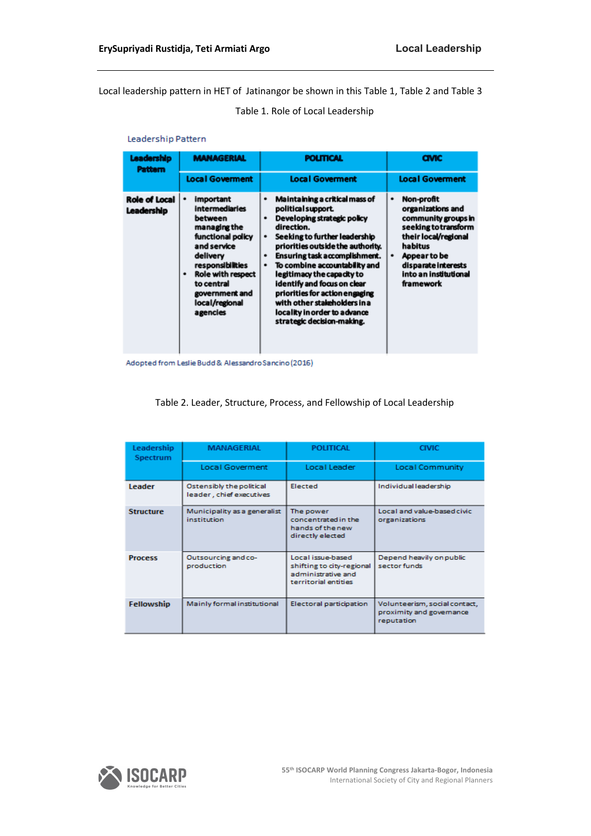Local leadership pattern in HET of Jatinangor be shown in this Table 1, Table 2 and Table 3

Table 1. Role of Local Leadership

#### Leadership Pattern

| Leadership<br><b>Pattern</b> | <b>MANAGERIAL</b>                                                                                                                                                                                                           | <b>POLITICAL</b>                                                                                                                                                                                                                                                                                                                                                                                                                                                | <b>CIVIC</b>                                                                                                                                                                                             |  |  |  |
|------------------------------|-----------------------------------------------------------------------------------------------------------------------------------------------------------------------------------------------------------------------------|-----------------------------------------------------------------------------------------------------------------------------------------------------------------------------------------------------------------------------------------------------------------------------------------------------------------------------------------------------------------------------------------------------------------------------------------------------------------|----------------------------------------------------------------------------------------------------------------------------------------------------------------------------------------------------------|--|--|--|
|                              | <b>Local Goverment</b>                                                                                                                                                                                                      | <b>Local Goverment</b>                                                                                                                                                                                                                                                                                                                                                                                                                                          | <b>Local Goverment</b>                                                                                                                                                                                   |  |  |  |
| Role of Local<br>Leadership  | important<br><b>intermediaries</b><br>between<br>managing the<br>functional policy<br>and service<br>delivery<br>responsibilities<br><b>Role with respect</b><br>to central<br>government and<br>local/regional<br>agencies | Maintaining a critical mass of<br>٠<br>political support.<br>Developing strategic policy<br>٠<br>direction.<br>Seeking to further leadership<br>٠<br>priorities outside the authority.<br>Ensuring task accomplishment.<br>٠<br>To combine accountability and<br>٠<br>legitimacy the capacity to<br>identify and focus on clear<br>priorities for action engaging<br>with other stakeholders in a<br>locality in order to advance<br>strategic decision-making. | Non-profit<br>٠<br>organizations and<br>community groups in<br>seeking to transform<br>their local/regional<br>habitus<br>Appear to be<br>٠<br>disparate interests<br>into an institutional<br>framework |  |  |  |

Adopted from Leslie Budd & Alessandro Sancino (2016)

| Leadership<br>Spectrum | MANAGERIAL                                           | <b>POLITICAL</b>                                                                             | <b>CIVIC</b>                                                            |  |  |
|------------------------|------------------------------------------------------|----------------------------------------------------------------------------------------------|-------------------------------------------------------------------------|--|--|
|                        | Local Goverment                                      | Local Leader                                                                                 | Local Community                                                         |  |  |
| <b>Leader</b>          | Ostensibly the political<br>leader, chief executives | Elected                                                                                      | Individual leadership                                                   |  |  |
| <b>Structure</b>       | Municipality as a generalist<br>institution          | The power<br>concentrated in the<br>hands of the new<br>directly elected                     | Local and value-based civic<br>organizations                            |  |  |
| <b>Process</b>         | Outsourcing and co-<br>production                    | Local issue-based<br>shifting to city-regional<br>administrative and<br>territorial entities | Depend heavily on public<br>sector funds                                |  |  |
| Fellowship             | Mainly formal institutional                          | Electoral participation                                                                      | Volunteerism, social contact,<br>proximity and governance<br>reputation |  |  |

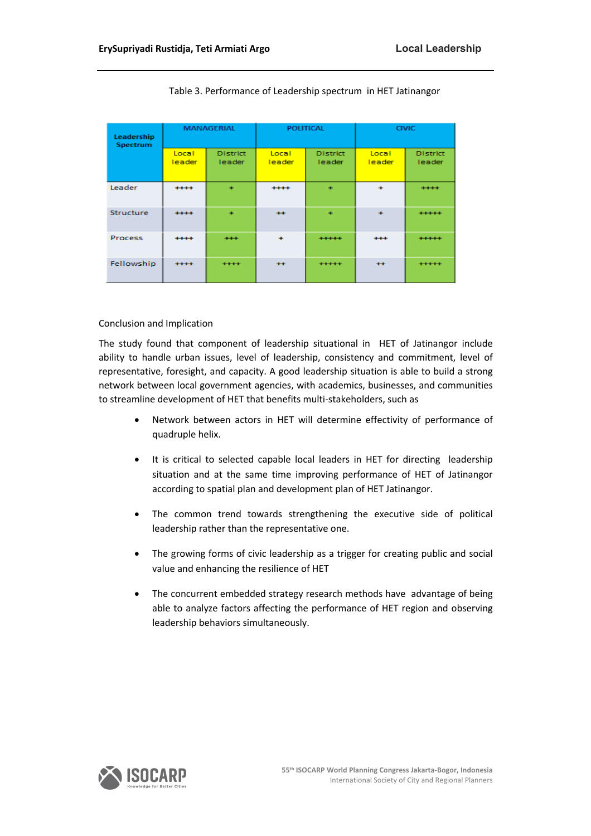| Leadership<br>Spectrum |                 | <b>MANAGERIAL</b>                | <b>POLITICAL</b>     |                                  | <b>CIVIC</b>    |                           |  |
|------------------------|-----------------|----------------------------------|----------------------|----------------------------------|-----------------|---------------------------|--|
|                        | Local<br>leader | <b>District</b><br><b>leader</b> | Local<br>leader      | <b>District</b><br><b>leader</b> | Local<br>leader | <b>District</b><br>leader |  |
| Leader                 | $***$           | $\ddot{}$                        | $+ + + +$            | $\ddot{}$                        | $\ddot{}$       | $***$                     |  |
| <b>Structure</b>       | $***$           | ٠                                | $++$                 | $\ddot{}$                        | $\ddot{}$       | $+ + + + +$               |  |
| <b>Process</b>         | $***$           | $***$                            | $\ddot{\phantom{1}}$ | $+ + + + +$                      | $+ + +$         | $***$                     |  |
| Fellowship             | $***$           | $***$                            | $++$                 | $***$                            | $++$            | $***$                     |  |

Table 3. Performance of Leadership spectrum in HET Jatinangor

#### Conclusion and Implication

The study found that component of leadership situational in HET of Jatinangor include ability to handle urban issues, level of leadership, consistency and commitment, level of representative, foresight, and capacity. A good leadership situation is able to build a strong network between local government agencies, with academics, businesses, and communities to streamline development of HET that benefits multi-stakeholders, such as

- Network between actors in HET will determine effectivity of performance of quadruple helix.
- It is critical to selected capable local leaders in HET for directing leadership situation and at the same time improving performance of HET of Jatinangor according to spatial plan and development plan of HET Jatinangor.
- The common trend towards strengthening the executive side of political leadership rather than the representative one.
- The growing forms of civic leadership as a trigger for creating public and social value and enhancing the resilience of HET
- The concurrent embedded strategy research methods have advantage of being able to analyze factors affecting the performance of HET region and observing leadership behaviors simultaneously.